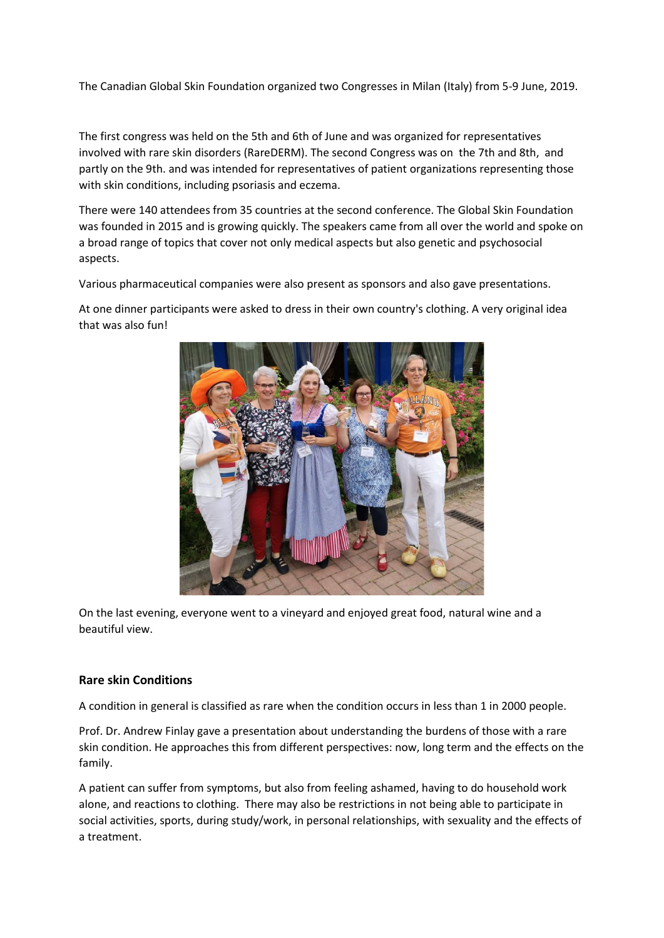The Canadian Global Skin Foundation organized two Congresses in Milan (Italy) from 5-9 June, 2019.

The first congress was held on the 5th and 6th of June and was organized for representatives involved with rare skin disorders (RareDERM). The second Congress was on the 7th and 8th, and partly on the 9th. and was intended for representatives of patient organizations representing those with skin conditions, including psoriasis and eczema.

There were 140 attendees from 35 countries at the second conference. The Global Skin Foundation was founded in 2015 and is growing quickly. The speakers came from all over the world and spoke on a broad range of topics that cover not only medical aspects but also genetic and psychosocial aspects.

Various pharmaceutical companies were also present as sponsors and also gave presentations.

At one dinner participants were asked to dress in their own country's clothing. A very original idea that was also fun!



On the last evening, everyone went to a vineyard and enjoyed great food, natural wine and a beautiful view.

### **Rare skin Conditions**

A condition in general is classified as rare when the condition occurs in less than 1 in 2000 people.

Prof. Dr. Andrew Finlay gave a presentation about understanding the burdens of those with a rare skin condition. He approaches this from different perspectives: now, long term and the effects on the family.

A patient can suffer from symptoms, but also from feeling ashamed, having to do household work alone, and reactions to clothing. There may also be restrictions in not being able to participate in social activities, sports, during study/work, in personal relationships, with sexuality and the effects of a treatment.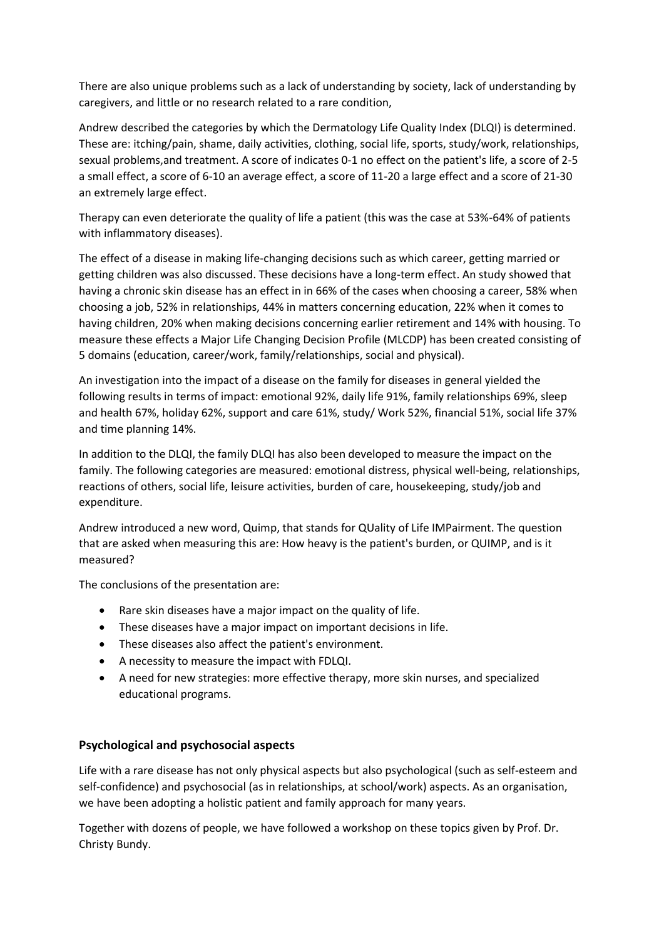There are also unique problems such as a lack of understanding by society, lack of understanding by caregivers, and little or no research related to a rare condition,

Andrew described the categories by which the Dermatology Life Quality Index (DLQI) is determined. These are: itching/pain, shame, daily activities, clothing, social life, sports, study/work, relationships, sexual problems,and treatment. A score of indicates 0-1 no effect on the patient's life, a score of 2-5 a small effect, a score of 6-10 an average effect, a score of 11-20 a large effect and a score of 21-30 an extremely large effect.

Therapy can even deteriorate the quality of life a patient (this was the case at 53%-64% of patients with inflammatory diseases).

The effect of a disease in making life-changing decisions such as which career, getting married or getting children was also discussed. These decisions have a long-term effect. An study showed that having a chronic skin disease has an effect in in 66% of the cases when choosing a career, 58% when choosing a job, 52% in relationships, 44% in matters concerning education, 22% when it comes to having children, 20% when making decisions concerning earlier retirement and 14% with housing. To measure these effects a Major Life Changing Decision Profile (MLCDP) has been created consisting of 5 domains (education, career/work, family/relationships, social and physical).

An investigation into the impact of a disease on the family for diseases in general yielded the following results in terms of impact: emotional 92%, daily life 91%, family relationships 69%, sleep and health 67%, holiday 62%, support and care 61%, study/ Work 52%, financial 51%, social life 37% and time planning 14%.

In addition to the DLQI, the family DLQI has also been developed to measure the impact on the family. The following categories are measured: emotional distress, physical well-being, relationships, reactions of others, social life, leisure activities, burden of care, housekeeping, study/job and expenditure.

Andrew introduced a new word, Quimp, that stands for QUality of Life IMPairment. The question that are asked when measuring this are: How heavy is the patient's burden, or QUIMP, and is it measured?

The conclusions of the presentation are:

- Rare skin diseases have a major impact on the quality of life.
- These diseases have a major impact on important decisions in life.
- These diseases also affect the patient's environment.
- A necessity to measure the impact with FDLQI.
- A need for new strategies: more effective therapy, more skin nurses, and specialized educational programs.

# **Psychological and psychosocial aspects**

Life with a rare disease has not only physical aspects but also psychological (such as self-esteem and self-confidence) and psychosocial (as in relationships, at school/work) aspects. As an organisation, we have been adopting a holistic patient and family approach for many years.

Together with dozens of people, we have followed a workshop on these topics given by Prof. Dr. Christy Bundy.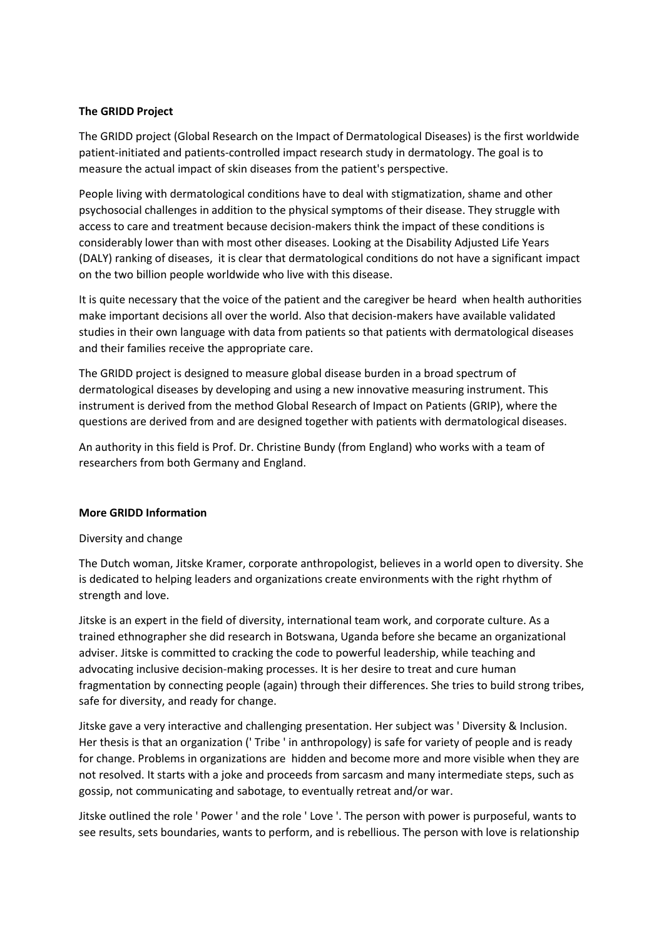## **The GRIDD Project**

The GRIDD project (Global Research on the Impact of Dermatological Diseases) is the first worldwide patient-initiated and patients-controlled impact research study in dermatology. The goal is to measure the actual impact of skin diseases from the patient's perspective.

People living with dermatological conditions have to deal with stigmatization, shame and other psychosocial challenges in addition to the physical symptoms of their disease. They struggle with access to care and treatment because decision-makers think the impact of these conditions is considerably lower than with most other diseases. Looking at the Disability Adjusted Life Years (DALY) ranking of diseases, it is clear that dermatological conditions do not have a significant impact on the two billion people worldwide who live with this disease.

It is quite necessary that the voice of the patient and the caregiver be heard when health authorities make important decisions all over the world. Also that decision-makers have available validated studies in their own language with data from patients so that patients with dermatological diseases and their families receive the appropriate care.

The GRIDD project is designed to measure global disease burden in a broad spectrum of dermatological diseases by developing and using a new innovative measuring instrument. This instrument is derived from the method Global Research of Impact on Patients (GRIP), where the questions are derived from and are designed together with patients with dermatological diseases.

An authority in this field is Prof. Dr. Christine Bundy (from England) who works with a team of researchers from both Germany and England.

### **More GRIDD Information**

### Diversity and change

The Dutch woman, Jitske Kramer, corporate anthropologist, believes in a world open to diversity. She is dedicated to helping leaders and organizations create environments with the right rhythm of strength and love.

Jitske is an expert in the field of diversity, international team work, and corporate culture. As a trained ethnographer she did research in Botswana, Uganda before she became an organizational adviser. Jitske is committed to cracking the code to powerful leadership, while teaching and advocating inclusive decision-making processes. It is her desire to treat and cure human fragmentation by connecting people (again) through their differences. She tries to build strong tribes, safe for diversity, and ready for change.

Jitske gave a very interactive and challenging presentation. Her subject was ' Diversity & Inclusion. Her thesis is that an organization (' Tribe ' in anthropology) is safe for variety of people and is ready for change. Problems in organizations are hidden and become more and more visible when they are not resolved. It starts with a joke and proceeds from sarcasm and many intermediate steps, such as gossip, not communicating and sabotage, to eventually retreat and/or war.

Jitske outlined the role ' Power ' and the role ' Love '. The person with power is purposeful, wants to see results, sets boundaries, wants to perform, and is rebellious. The person with love is relationship